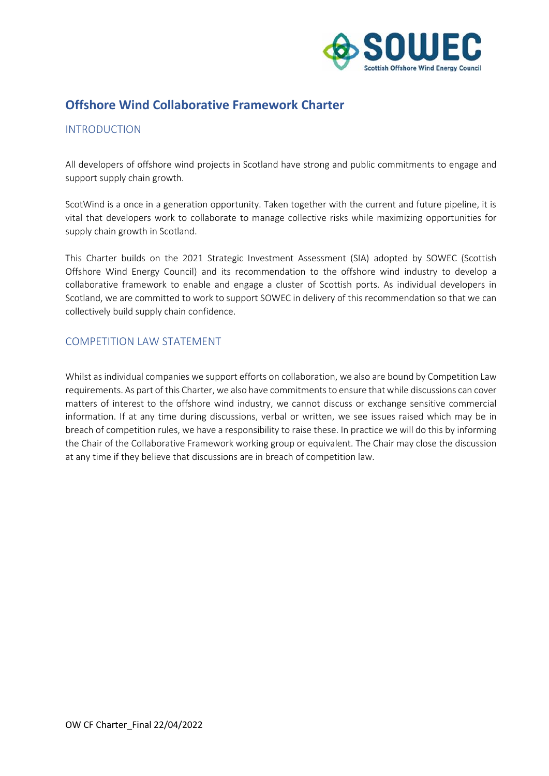

# **Offshore Wind Collaborative Framework Charter**

### INTRODUCTION

All developers of offshore wind projects in Scotland have strong and public commitments to engage and support supply chain growth.

ScotWind is a once in a generation opportunity. Taken together with the current and future pipeline, it is vital that developers work to collaborate to manage collective risks while maximizing opportunities for supply chain growth in Scotland.

This Charter builds on the 2021 Strategic Investment Assessment (SIA) adopted by SOWEC (Scottish Offshore Wind Energy Council) and its recommendation to the offshore wind industry to develop a collaborative framework to enable and engage a cluster of Scottish ports. As individual developers in Scotland, we are committed to work to support SOWEC in delivery of this recommendation so that we can collectively build supply chain confidence.

## COMPETITION LAW STATEMENT

Whilst as individual companies we support efforts on collaboration, we also are bound by Competition Law requirements. As part of this Charter, we also have commitments to ensure that while discussions can cover matters of interest to the offshore wind industry, we cannot discuss or exchange sensitive commercial information. If at any time during discussions, verbal or written, we see issues raised which may be in breach of competition rules, we have a responsibility to raise these. In practice we will do this by informing the Chair of the Collaborative Framework working group or equivalent. The Chair may close the discussion at any time if they believe that discussions are in breach of competition law.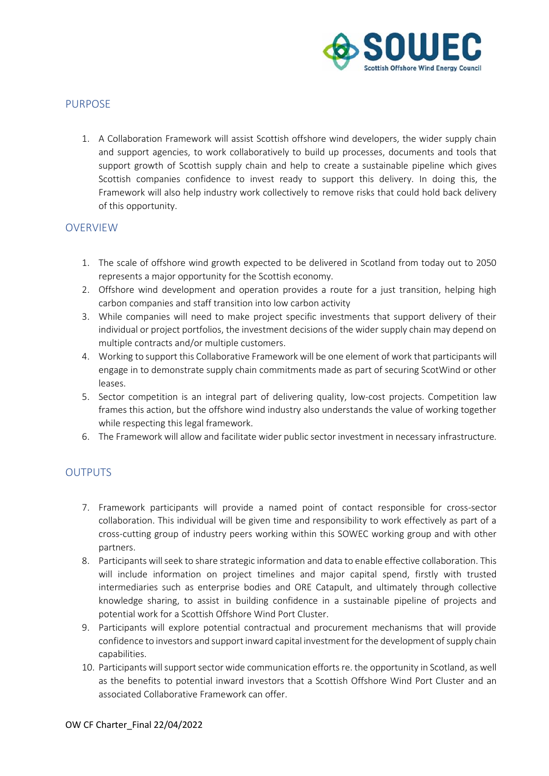

## PURPOSE

1. A Collaboration Framework will assist Scottish offshore wind developers, the wider supply chain and support agencies, to work collaboratively to build up processes, documents and tools that support growth of Scottish supply chain and help to create a sustainable pipeline which gives Scottish companies confidence to invest ready to support this delivery. In doing this, the Framework will also help industry work collectively to remove risks that could hold back delivery of this opportunity.

### OVERVIEW

- 1. The scale of offshore wind growth expected to be delivered in Scotland from today out to 2050 represents a major opportunity for the Scottish economy.
- 2. Offshore wind development and operation provides a route for a just transition, helping high carbon companies and staff transition into low carbon activity
- 3. While companies will need to make project specific investments that support delivery of their individual or project portfolios, the investment decisions of the wider supply chain may depend on multiple contracts and/or multiple customers.
- 4. Working to support this Collaborative Framework will be one element of work that participants will engage in to demonstrate supply chain commitments made as part of securing ScotWind or other leases.
- 5. Sector competition is an integral part of delivering quality, low-cost projects. Competition law frames this action, but the offshore wind industry also understands the value of working together while respecting this legal framework.
- 6. The Framework will allow and facilitate wider public sector investment in necessary infrastructure.

## **OUTPUTS**

- 7. Framework participants will provide a named point of contact responsible for cross-sector collaboration. This individual will be given time and responsibility to work effectively as part of a cross-cutting group of industry peers working within this SOWEC working group and with other partners.
- 8. Participants will seek to share strategic information and data to enable effective collaboration. This will include information on project timelines and major capital spend, firstly with trusted intermediaries such as enterprise bodies and ORE Catapult, and ultimately through collective knowledge sharing, to assist in building confidence in a sustainable pipeline of projects and potential work for a Scottish Offshore Wind Port Cluster.
- 9. Participants will explore potential contractual and procurement mechanisms that will provide confidence to investors and support inward capital investment for the development of supply chain capabilities.
- 10. Participants will support sector wide communication efforts re. the opportunity in Scotland, as well as the benefits to potential inward investors that a Scottish Offshore Wind Port Cluster and an associated Collaborative Framework can offer.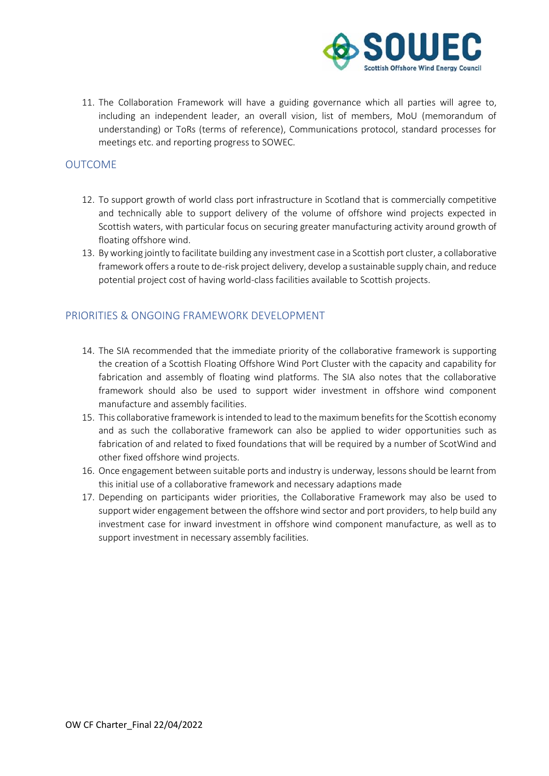

11. The Collaboration Framework will have a guiding governance which all parties will agree to, including an independent leader, an overall vision, list of members, MoU (memorandum of understanding) or ToRs (terms of reference), Communications protocol, standard processes for meetings etc. and reporting progress to SOWEC.

#### OUTCOME

- 12. To support growth of world class port infrastructure in Scotland that is commercially competitive and technically able to support delivery of the volume of offshore wind projects expected in Scottish waters, with particular focus on securing greater manufacturing activity around growth of floating offshore wind.
- 13. By working jointly to facilitate building any investment case in a Scottish port cluster, a collaborative framework offers a route to de-risk project delivery, develop a sustainable supply chain, and reduce potential project cost of having world-class facilities available to Scottish projects.

## PRIORITIES & ONGOING FRAMEWORK DEVELOPMENT

- 14. The SIA recommended that the immediate priority of the collaborative framework is supporting the creation of a Scottish Floating Offshore Wind Port Cluster with the capacity and capability for fabrication and assembly of floating wind platforms. The SIA also notes that the collaborative framework should also be used to support wider investment in offshore wind component manufacture and assembly facilities.
- 15. This collaborative framework is intended to lead to the maximum benefits for the Scottish economy and as such the collaborative framework can also be applied to wider opportunities such as fabrication of and related to fixed foundations that will be required by a number of ScotWind and other fixed offshore wind projects.
- 16. Once engagement between suitable ports and industry is underway, lessons should be learnt from this initial use of a collaborative framework and necessary adaptions made
- 17. Depending on participants wider priorities, the Collaborative Framework may also be used to support wider engagement between the offshore wind sector and port providers, to help build any investment case for inward investment in offshore wind component manufacture, as well as to support investment in necessary assembly facilities.